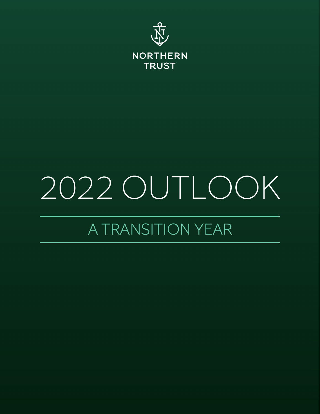

# 2022 OUTLOOK

# A TRANSITION YEAR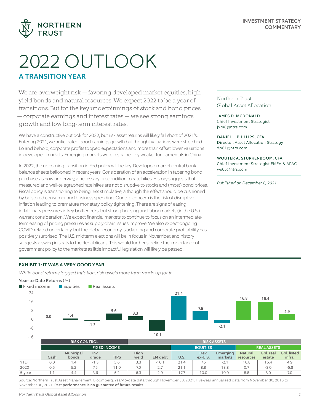

# 2022 OUTLOOK A TRANSITION YEAR

We are overweight risk — favoring developed market equities, high yield bonds and natural resources. We expect 2022 to be a year of transitions. But for the key underpinnings of stock and bond prices — corporate earnings and interest rates — we see strong earnings growth and low long-term interest rates.

We have a constructive outlook for 2022, but risk asset returns will likely fall short of 2021's. Entering 2021, we anticipated good earnings growth but thought valuations were stretched. Lo and behold, corporate profits topped expectations and more than offset lower valuations in developed markets. Emerging markets were restrained by weaker fundamentals in China.

In 2022, the upcoming transition in Fed policy will be key. Developed market central bank balance sheets ballooned in recent years. Consideration of an acceleration in tapering bond purchases is now underway, a necessary precondition to rate hikes. History suggests that measured and well-telegraphed rate hikes are not disruptive to stocks and (most) bond prices. Fiscal policy is transitioning to being less stimulative, although the effect should be cushioned by bolstered consumer and business spending. Our top concern is the risk of disruptive inflation leading to premature monetary policy tightening. There are signs of easing inflationary pressures in key bottlenecks, but strong housing and labor markets (in the U.S.) warrant consideration. We expect financial markets to continue to focus on an intermediateterm easing of pricing pressures as supply chain issues improve. We also expect ongoing COVID-related uncertainty, but the global economy is adapting and corporate profitability has positively surprised. The U.S. midterm elections will be in focus in November, and history suggests a swing in seats to the Republicans. This would further sideline the importance of government policy to the markets as little impactful legislation will likely be passed.

Northern Trust Global Asset Allocation

JAMES D. MCDONALD Chief Investment Strategist jxm8@ntrs.com

DANIEL J. PHILLIPS, CFA Director, Asset Allocation Strategy

dp61@ntrs.com

WOUTER A. STURKENBOOM, CFA

Chief Investment Strategist EMEA & APAC ws65@ntrs.com

*Published on December 8, 2021*

#### EXHIBIT 1: IT WAS A VERY GOOD YEAR

*While bond returns lagged inflation, risk assets more than made up for it.*

#### Year-to-Date Returns (%)



Source: Northern Trust Asset Management, Bloomberg. Year-to-date data through November 30, 2021. Five-year annualized data from November 30, 2016 to November 30, 2021. Past performance is no guarantee of future results.

5-year 1.1 | 4.4 | 3.6 | 5.2 | 6.3 | 2.9 | 17.7 | 10.0 | 10.0 | 8.8 | 8.0 | 7.0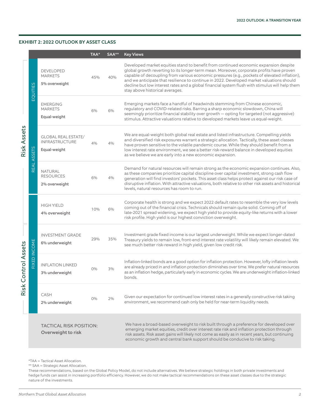#### EXHIBIT 2: 2022 OUTLOOK BY ASSET CLASS

|                        |                                   |                                                                     | TAA*  | SAA** | <b>Key Views</b>                                                                                                                                                                                                                                                                                                                                                                                                                                                                                                    |
|------------------------|-----------------------------------|---------------------------------------------------------------------|-------|-------|---------------------------------------------------------------------------------------------------------------------------------------------------------------------------------------------------------------------------------------------------------------------------------------------------------------------------------------------------------------------------------------------------------------------------------------------------------------------------------------------------------------------|
|                        | EQUITIES                          | <b>DEVELOPED</b><br><b>MARKETS</b><br>5% overweight                 | 45%   | 40%   | Developed market equities stand to benefit from continued economic expansion despite<br>global growth reverting to its longer-term mean. Moreover, corporate profits have proven<br>capable of decoupling from various economic pressures (e.g., pockets of elevated inflation),<br>and we anticipate that resilience to continue in 2022. Developed market valuations should<br>decline but low interest rates and a global financial system flush with stimulus will help them<br>stay above historical averages. |
| Risk Assets            |                                   | <b>EMERGING</b><br><b>MARKETS</b><br>Equal-weight                   | 6%    | 6%    | Emerging markets face a handful of headwinds stemming from Chinese economic,<br>regulatory and COVID-related risks. Barring a sharp economic slowdown, China will<br>seemingly prioritize financial stability over growth - opting for targeted (not aggressive)<br>stimulus. Attractive valuations relative to developed markets leave us equal-weight.                                                                                                                                                            |
|                        | EAL ASSETS<br>$\overline{\alpha}$ | <b>GLOBAL REAL ESTATE/</b><br><b>INFRASTRUCTURE</b><br>Equal-weight | 4%    | 4%    | We are equal-weight both global real estate and listed infrastructure. Compelling yields<br>and diversified risk exposures warrant a strategic allocation. Tactically, these asset classes<br>have proven sensitive to the volatile pandemic course. While they should benefit from a<br>low interest rate environment, we see a better risk-reward balance in developed equities<br>as we believe we are early into a new economic expansion.                                                                      |
|                        |                                   | <b>NATURAL</b><br><b>RESOURCES</b><br>2% overweight                 | 6%    | 4%    | Demand for natural resources will remain strong as the economic expansion continues. Also,<br>as these companies prioritize capital discipline over capital investment, strong cash flow<br>generation will find investors' pockets. This asset class helps protect against our risk case of<br>disruptive inflation. With attractive valuations, both relative to other risk assets and historical<br>levels, natural resources has room to run.                                                                   |
| Control Assets<br>Risk | <b>FIXED INCOME</b>               | <b>HIGH YIELD</b><br>4% overweight                                  | 10%   | 6%    | Corporate health is strong and we expect 2022 default rates to resemble the very low levels<br>coming out of the financial crisis. Technicals should remain quite solid. Coming off of<br>late-2021 spread widening, we expect high yield to provide equity-like returns with a lower<br>risk profile. High yield is our highest conviction overweight.                                                                                                                                                             |
|                        |                                   | <b>INVESTMENT GRADE</b><br>6% underweight                           | 29%   | 35%   | Investment grade fixed income is our largest underweight. While we expect longer-dated<br>Treasury yields to remain low, front-end interest rate volatility will likely remain elevated. We<br>see much better risk-reward in high yield, given low credit risk.                                                                                                                                                                                                                                                    |
|                        |                                   | <b>INFLATION LINKED</b><br>3% underweight                           | $0\%$ | 3%    | Inflation-linked bonds are a good option for inflation protection. However, lofty inflation levels<br>are already priced in and inflation protection diminishes over time. We prefer natural resources<br>as an inflation hedge, particularly early in economic cycles. We are underweight inflation-linked<br>bonds.                                                                                                                                                                                               |
|                        |                                   | CASH<br>2% underweight                                              | 0%    | 2%    | Given our expectation for continued low interest rates in a generally constructive risk taking<br>environment, we recommend cash only be held for near-term liquidity needs.                                                                                                                                                                                                                                                                                                                                        |
|                        |                                   | <b>TACTICAL RISK POSITION:</b><br>Overweight to risk                |       |       | We have a broad-based overweight to risk built through a preference for developed over<br>emerging market equities, credit over interest rate risk and inflation protection through<br>risk assets. Risk asset gains will likely not come as easily as in recent years, but continuing<br>economic growth and central bank support should be conducive to risk taking.                                                                                                                                              |

\*TAA = Tactical Asset Allocation.

\*\* SAA = Strategic Asset Allocation.

These recommendations, based on the Global Policy Model, do not include alternatives. We believe strategic holdings in both private investments and hedge funds can assist in increasing portfolio efficiency. However, we do not make tactical recommendations on these asset classes due to the strategic nature of the investments.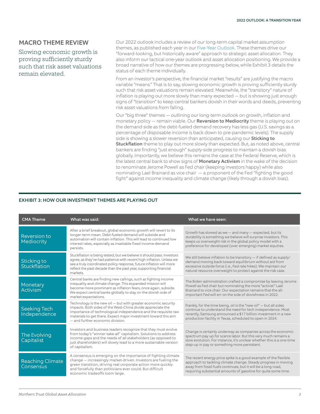### MACRO THEME REVIEW

Slowing economic growth is proving sufficiently sturdy such that risk asset valuations remain elevated.

Our 2022 outlook includes a review of our long-term capital market assumption themes, as published each year in our [Five-Year Outlook.](https://www.capitalmarketassumptions.com/?utm_source=pdf&utm_medium=referral&utm_campaign=am-global-brand-cma-20211207&utm_content=commentary) These themes drive our "forward-looking, but historically aware" approach to strategic asset allocation. They also inform our tactical one-year outlook and asset allocation positioning. We provide a broad narrative of how our themes are progressing below, while Exhibit 3 details the status of each theme individually.

From an investor's perspective, the financial market "results" are justifying the macro variable "means." That is to say, slowing economic growth is proving sufficiently sturdy such that risk asset valuations remain elevated. Meanwhile, the "transitory" nature of inflation is playing out more slowly than many expected — but is showing just enough signs of "transition" to keep central bankers dovish in their words and deeds, preventing risk asset valuations from falling.

Our "big three" themes — outlining our long-term outlook on growth, inflation and monetary policy - remain viable. Our Reversion to Mediocrity theme is playing out on the demand side as the debt-fueled demand recovery has less gas (U.S. savings as a percentage of disposable income is back down to pre-pandemic levels). The supply side is showing a slower reversion than anticipated, causing our Sticking to Stuckflation theme to play out more slowly than expected. But, as noted above, central bankers are finding "just enough" supply-side progress to maintain a dovish bias globally. Importantly, we believe this remains the case at the Federal Reserve, which is the latest central bank to show signs of **Monetary Activism** in the wake of the decision to renominate Jerome Powell as Fed chair (keeping investors happy) while also nominating Lael Brainard as vice chair — a proponent of the Fed "fighting the good fight" against income inequality and climate change (likely through a dovish bias).

#### EXHIBIT 3: HOW OUR INVESTMENT THEMES ARE PLAYING OUT

| <b>CMA Theme</b>                     | What was said:                                                                                                                                                                                                                                                                                         | What we have seen:                                                                                                                                                                                                                                                   |
|--------------------------------------|--------------------------------------------------------------------------------------------------------------------------------------------------------------------------------------------------------------------------------------------------------------------------------------------------------|----------------------------------------------------------------------------------------------------------------------------------------------------------------------------------------------------------------------------------------------------------------------|
| Reversion to<br>Mediocrity           | After a brief breakout, global economic growth will revert to its<br>longer-term mean. Debt-fueled demand will subside and<br>automation will contain inflation. This will lead to continued low<br>interest rates, especially as insatiable fixed income demand<br>persists.                          | Growth has slowed as we - and many - expected, but its<br>durability is something we believe will surprise investors. This<br>keeps us overweight risk in the global policy model with a<br>preference for developed (over emerging) market equities.                |
| Sticking to<br>Stuckflation          | Stuckflation is being tested, but we believe it should pass. Investors<br>agree, as they've had patience with recent high inflation. Unless we<br>see a truly coordinated policy response, future inflation will more<br>reflect the past decade than the past year, supporting financial<br>markets.  | We still believe inflation to be transitory $-$ if defined as supply/<br>demand moving back toward equilibrium without aid from<br>excessive outside force (i.e., Fed rate hikes). We maintain our<br>natural resource overweight to protect against the risk case.  |
| Monetary<br>Activism                 | Central banks are finding new callings, such as fighting income<br>inequality and climate change. This expanded mission will<br>become more prominent as inflation fears, once again, subside.<br>We expect central banks globally to stay on the dovish side of<br>market expectations.               | The Biden administration crafted a compromise by leaving Jerome<br>Powell as Fed chair but nominating the more "activist" Lael<br>Brainard to vice chair. Our expectation remains that the all-<br>important Fed will err on the side of dovishness in 2022.         |
| <b>Seeking Tech</b><br>Independence  | Technology is the new oil - but with greater economic security<br>impacts. Both sides of the West-China divide appreciate the<br>importance of technological independence and the requisite raw<br>materials to get there. Expect major investment toward this aim<br>- and further economic division. | Frankly, for the time being, oil is the "new oil" - but all sides<br>continue to understand the need for tech independence. Most<br>recently, Samsung announced a \$17 billion investment in a new<br>production facility in Texas, scheduled to open in 2024.       |
| The Evolving<br>Capitalist           | Investors and business leaders recognize that they must evolve<br>from today's "winner-take-all" capitalism. Solutions to address<br>income gaps and the needs of all stakeholders (as opposed to<br>just shareholders) will slowly lead to a more sustainable version<br>of capitalism.               | Change is certainly underway as companies across the economic<br>spectrum pay up for scarce labor. But this very much remains a<br>slow evolution. For instance, it's unclear whether this is a one-time<br>step-up in pay or something more persistent.             |
| <b>Reaching Climate</b><br>Consensus | A consensus is emerging on the importance of fighting climate<br>change - increasingly market-driven. Investors are fueling the<br>green transition, driving real corporate action more quickly<br>and forcefully than politicians ever could. But difficult<br>economic tradeoffs loom large.         | The recent energy price spike is a good example of the flexible<br>approach to tackling climate change. Steady progress in moving<br>away from fossil fuels continues, but it will be a long road,<br>requiring substantial amounts of gasoline for quite some time. |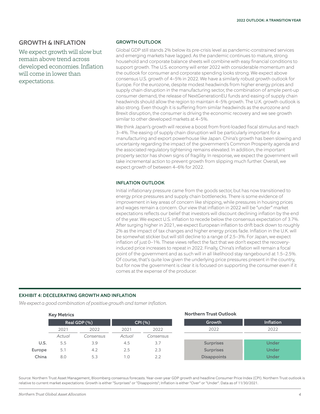#### GROWTH & INFLATION

We expect growth will slow but remain above trend across developed economies. Inflation will come in lower than expectations.

#### GROWTH OUTLOOK

Global GDP still stands 2% below its pre-crisis level as pandemic-constrained services and emerging markets have lagged. As the pandemic continues to mature, strong household and corporate balance sheets will combine with easy financial conditions to support growth. The U.S. economy will enter 2022 with considerable momentum and the outlook for consumer and corporate spending looks strong. We expect above consensus U.S. growth of 4–5% in 2022. We have a similarly robust growth outlook for Europe. For the eurozone, despite modest headwinds from higher energy prices and supply chain disruption in the manufacturing sector, the combination of ample pent-up consumer demand, the release of NextGenerationEU funds and easing of supply chain headwinds should allow the region to maintain 4–5% growth. The U.K. growth outlook is also strong. Even though it is suffering from similar headwinds as the eurozone and Brexit disruption, the consumer is driving the economic recovery and we see growth similar to other developed markets at 4–5%.

We think Japan's growth will receive a boost from front-loaded fiscal stimulus and reach 3–4%. The easing of supply chain disruption will be particularly important for a manufacturing and export powerhouse like Japan. China's growth has been slowing and uncertainty regarding the impact of the government's Common Prosperity agenda and the associated regulatory tightening remains elevated. In addition, the important property sector has shown signs of fragility. In response, we expect the government will take incremental action to prevent growth from slipping much further. Overall, we expect growth of between 4–6% for 2022.

#### INFLATION OUTLOOK

Initial inflationary pressure came from the goods sector, but has now transitioned to energy price pressures and supply chain bottlenecks. There is some evidence of improvement in key areas of concern like shipping, while pressures in housing prices and wages remain a concern. Our view that inflation in 2022 will be "under" market expectations reflects our belief that investors will discount declining inflation by the end of the year. We expect U.S. inflation to recede below the consensus expectation of 3.7%. After surging higher in 2021, we expect European inflation to drift back down to roughly 2% as the impact of tax changes and higher energy prices fade. Inflation in the U.K. will be somewhat stickier but will still decline to a range of 2.5–3%. For Japan, we expect inflation of just 0–1%. These views reflect the fact that we don't expect the recoveryinduced price increases to repeat in 2022. Finally, China's inflation will remain a focal point of the government and as such will in all likelihood stay rangebound at 1.5–2.5%. Of course, that's quite low given the underlying price pressures present in the country, but for now the government is clear it is focused on supporting the consumer even if it comes at the expense of the producer.

#### EXHIBIT 4: DECELERATING GROWTH AND INFLATION

*We expect a good combination of positive growth and tamer inflation.*

**Key Metrics Northern Trust Outlook** Real GDP  $(\%)$  CPI  $(\%)$ 2021 2022 2021 2022 *Actual Consensus Actual Consensus* **U.S.** 5.5 3.9 4.5 3.7 Europe 5.1 4.2 2.5 2.3 China 8.0 5.3 1.0 2.2 Growth Inflation 2022 2022 Surprises **Under** Surprises and Under Disappoints **Under** 

Source: Northern Trust Asset Management, Bloomberg consensus forecasts. Year-over-year GDP growth and headline Consumer Price Index (CPI). Northern Trust outlook is relative to current market expectations: Growth is either "Surprises" or "Disappoints"; Inflation is either "Over" or "Under". Data as of 11/30/2021.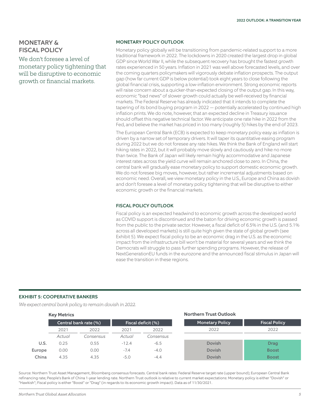## MONETARY & FISCAL POLICY

We don't foresee a level of monetary policy tightening that will be disruptive to economic growth or financial markets.

#### MONETARY POLICY OUTLOOK

Monetary policy globally will be transitioning from pandemic-related support to a more traditional framework in 2022. The lockdowns in 2020 created the largest drop in global GDP since World War II, while the subsequent recovery has brought the fastest growth rates experienced in 50 years. Inflation in 2021 was well above forecasted levels, and over the coming quarters policymakers will vigorously debate inflation prospects. The output gap (how far current GDP is below potential) took eight years to close following the global financial crisis, supporting a low-inflation environment. Strong economic reports will raise concern about a quicker-than-expected closing of the output gap. In this way, economic "bad news" of slower growth could actually be well-received by financial markets. The Federal Reserve has already indicated that it intends to complete the tapering of its bond buying program in 2022 — potentially accelerated by continued high inflation prints. We do note, however, that an expected decline in Treasury issuance should offset this negative technical factor. We anticipate one rate hike in 2022 from the Fed, and believe the market has priced in too many (roughly 5) hikes by the end of 2023.

The European Central Bank (ECB) is expected to keep monetary policy easy as inflation is driven by a narrow set of temporary drivers. It will taper its quantitative easing program during 2022 but we do not foresee any rate hikes. We think the Bank of England will start hiking rates in 2022, but it will probably move slowly and cautiously and hike no more than twice. The Bank of Japan will likely remain highly accommodative and Japanese interest rates across the yield curve will remain anchored close to zero. In China, the central bank will gradually ease monetary policy to support domestic economic growth. We do not foresee big moves, however, but rather incremental adjustments based on economic need. Overall, we view monetary policy in the U.S., Europe and China as dovish and don't foresee a level of monetary policy tightening that will be disruptive to either economic growth or the financial markets.

#### FISCAL POLICY OUTLOOK

Fiscal policy is an expected headwind to economic growth across the developed world as COVID support is discontinued and the baton for driving economic growth is passed from the public to the private sector. However, a fiscal deficit of 6.5% in the U.S. (and 5.1% across all developed markets) is still quite high given the state of global growth (see Exhibit 5). We expect fiscal policy to be an economic drag in the U.S. as the economic impact from the infrastructure bill won't be material for several years and we think the Democrats will struggle to pass further spending programs. However, the release of NextGenerationEU funds in the eurozone and the announced fiscal stimulus in Japan will ease the transition in these regions.

#### EXHIBIT 5: COOPERATIVE BANKERS

*We expect central bank policy to remain dovish in 2022.*

|        | <b>Key Metrics</b>    |           | <b>Northern Trust Outlook</b> |                    |                        |                      |  |  |  |
|--------|-----------------------|-----------|-------------------------------|--------------------|------------------------|----------------------|--|--|--|
|        | Central bank rate (%) |           |                               | Fiscal deficit (%) | <b>Monetary Policy</b> | <b>Fiscal Policy</b> |  |  |  |
|        | 2021                  | 2022      | 2021                          | 2022               | 2022                   | 2022                 |  |  |  |
|        | Actual                | Consensus | Actual                        | Consensus          |                        |                      |  |  |  |
| U.S.   | 0.25                  | 0.55      | $-12.4$                       | $-6.5$             | <b>Dovish</b>          | <b>Drag</b>          |  |  |  |
| Europe | 0.00                  | 0.00      | $-7.4$                        | $-4.0$             | <b>Dovish</b>          | <b>Boost</b>         |  |  |  |
| China  | 4.35                  | 4.35      | $-5.0$                        | $-4.4$             | <b>Dovish</b>          | <b>Boost</b>         |  |  |  |

Source: Northern Trust Asset Management, Bloomberg consensus forecasts. Central bank rates: Federal Reserve target rate (upper bound); European Central Bank refinancing rate; People's Bank of China 1-year lending rate. Northern Trust outlook is relative to current market expectations: Monetary policy is either "Dovish" or "Hawkish"; Fiscal policy is either "Boost" or "Drag" (in regards to its economic growth impact). Data as of 11/30/2021.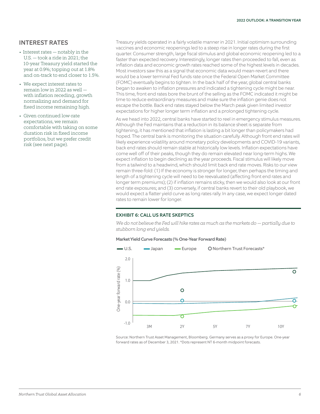#### INTEREST RATES

- Interest rates notably in the U.S. — took a ride in 2021; the 10-year Treasury yield started the year at 0.9%; topping out at 1.8% and on-track to end closer to 1.5%.
- We expect interest rates to remain low in 2022 as well with inflation receding, growth normalizing and demand for fixed income remaining high.
- Given continued low-rate expectations, we remain comfortable with taking on some duration risk in fixed income portfolios, but we prefer credit risk (see next page).

Treasury yields operated in a fairly volatile manner in 2021. Initial optimism surrounding vaccines and economic reopenings led to a steep rise in longer rates during the first quarter. Consumer strength, large fiscal stimulus and global economic reopening led to a faster than expected recovery. Interestingly, longer rates then proceeded to fall, even as inflation data and economic growth rates reached some of the highest levels in decades. Most investors saw this as a signal that economic data would mean-revert and there would be a lower terminal Fed funds rate once the Federal Open Market Committee (FOMC) eventually begins to tighten. In the back half of the year, global central banks began to awaken to inflation pressures and indicated a tightening cycle might be near. This time, front end rates bore the brunt of the selling as the FOMC indicated it might be time to reduce extraordinary measures and make sure the inflation genie does not escape the bottle. Back end rates stayed below the March peak given limited investor expectations for higher longer term inflation and a prolonged tightening cycle.

As we head into 2022, central banks have started to reel in emergency stimulus measures. Although the Fed maintains that a reduction in its balance sheet is separate from tightening, it has mentioned that inflation is lasting a bit longer than policymakers had hoped. The central bank is monitoring the situation carefully. Although front end rates will likely experience volatility around monetary policy developments and COVID-19 variants, back end rates should remain stable at historically low levels. Inflation expectations have come well off of their peaks, though they do remain elevated near long-term highs. We expect inflation to begin declining as the year proceeds. Fiscal stimulus will likely move from a tailwind to a headwind, which should limit back end rate moves. Risks to our view remain three-fold: (1) If the economy is stronger for longer, then perhaps the timing and length of a tightening cycle will need to be reevaluated (affecting front end rates and longer term premiums); (2) if inflation remains sticky, then we would also look at our front end rate exposures; and (3) conversely, if central banks revert to their old playbook, we would expect a flatter yield curve as long rates rally. In any case, we expect longer dated rates to remain lower for longer.

#### EXHIBIT 6: CALL US RATE SKEPTICS

*We do not believe the Fed will hike rates as much as the markets do — partially due to stubborn long end yields.*

#### Market Yield Curve Forecasts (% One-Year Forward Rate)



Source: Northern Trust Asset Management, Bloomberg. Germany serves as a proxy for Europe. One-year forward rates as of December 3, 2021. \*Dots represent NT 6-month midpoint forecasts.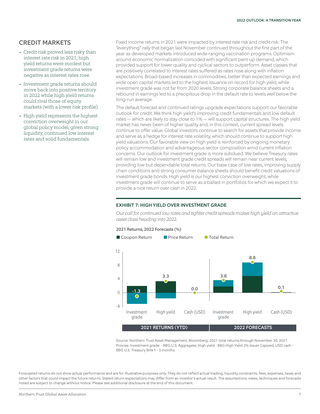#### CREDIT MARKETS

- Credit risk proved less risky than interest rate risk in 2021; high yield returns were modest but investment grade returns were negative as interest rates rose.
- Investment grade returns should move back into positive territory in 2022 while high yield returns could rival those of equity markets (with a lower risk profile).
- High yield represents the highest conviction overweight in our global policy model, given strong liquidity, continued low interest rates and solid fundamentals.

Fixed income returns in 2021 were impacted by interest rate risk and credit risk. The "everything" rally that began last November continued throughout the first part of the year as developed markets introduced wide-ranging vaccination programs. Optimism around economic normalization coincided with significant pent-up demand, which provided support for lower quality and cyclical sectors to outperform. Asset classes that are positively correlated to interest rates suffered as rates rose along with inflation expectations. Broad-based increases in commodities, better than expected earnings and wide open capital markets led to the highest issuance on record for high yield, while investment grade was not far from 2020 levels. Strong corporate balance sheets and a rebound in earnings led to a precipitous drop in the default rate to levels well below the long-run average.

The default forecast and continued ratings upgrade expectations support our favorable outlook for credit. We think high yield's improving credit fundamentals and low default rates — which are likely to stay close to 1% — will support capital structures. The high yield market has never been of higher quality and, in this context, current spread levels continue to offer value. Global investors continue to search for assets that provide income and serve as a hedge for interest rate volatility, which should continue to support high yield valuations. Our favorable view on high yield is reinforced by ongoing monetary policy accommodation and advantageous sector composition amid current inflation concerns. Our outlook for investment grade is more subdued. We believe Treasury rates will remain low and investment grade credit spreads will remain near current levels, providing low but dependable total returns. Our base case of low rates, improving supply chain conditions and strong consumer balance sheets should benefit credit valuations of investment grade bonds. High yield is our highest conviction overweight, while investment grade will continue to serve as a ballast in portfolios for which we expect it to provide a nice return over cash in 2022.

#### EXHIBIT 7: HIGH YIELD OVER INVESTMENT GRADE

*Our call for continued low rates and tighter credit spreads makes high yield an attractive asset class heading into 2022.*



Source: Northern Trust Asset Management, Bloomberg. 2021 total returns through November 30, 2021. Proxies: Investment grade - BBG U.S. Aggregate; High yield - BBG High Yield 2% Issuer Capped; USD cash - BBG U.S. Treasury Bills 1 - 3 months.

Forecasted returns do not show actual performance and are for illustrative purposes only. They do not reflect actual trading, liquidity constraints, fees, expenses, taxes and other factors that could impact the future returns. Stated return expectations may differ from an investor's actual result. The assumptions, views, techniques and forecasts noted are subject to change without notice. Please see additional disclosure at the end of this document.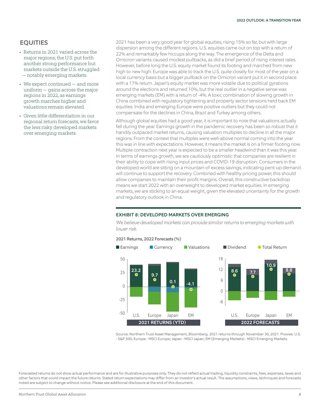#### **EQUITIES**

- Returns in 2021 varied across the major regions; the U.S. put forth another strong performance but markets outside the U.S. struggled — notably emerging markets.
- We expect continued and more uniform — gains across the major regions in 2022, as earnings growth marches higher and valuations remain elevated.
- Given little differentiation in our regional return forecasts, we favor the less risky developed markets over emerging markets.

2021 has been a very good year for global equities, rising 15% so far, but with large dispersion among the different regions. U.S. equities came out on top with a return of 22% and remarkably few hiccups along the way. The emergence of the Delta and Omicron variants caused modest pullbacks, as did a brief period of rising interest rates. However, before long the U.S. equity market found its footing and marched from new high to new high. Europe was able to track the U.S. quite closely for most of the year on a local currency basis but a bigger pullback on the Omicron variant put it in second place with a 17% return. Japan's equity market was more volatile due to political gyrations around the elections and returned 10%, but the real outlier in a negative sense was emerging markets (EM) with a return of -4%. A toxic combination of slowing growth in China combined with regulatory tightening and property sector tensions held back EM equities. India and emerging Europe were positive outliers but they could not compensate for the declines in China, Brazil and Turkey among others.

Although global equities had a good year, it is important to note that valuations actually fell during the year. Earnings growth in the pandemic recovery has been so robust that it handily outpaced market returns, causing valuation multiples to decline in all the major regions. From the context that multiples were well-above normal coming into the year this was in line with expectations. However, it means the market is on a firmer footing now. Multiple contraction next year is expected to be a smaller headwind than it was this year. In terms of earnings growth, we are cautiously optimistic that companies are resilient in their ability to cope with rising input prices and COVID-19 disruption. Consumers in the developed world are sitting on a mountain of excess savings, indicating pent-up demand will continue to support the recovery. Combined with healthy pricing power, this should allow companies to maintain their profit margins. Overall, this constructive backdrop means we start 2022 with an overweight to developed market equities. In emerging markets, we are sticking to an equal weight, given the elevated uncertainty for the growth and regulatory outlook in China.



#### EXHIBIT 8: DEVELOPED MARKETS OVER EMERGING

*We believe developed markets can provide similar returns to emerging markets with lower risk.*

Source: Northern Trust Asset Management, Bloomberg. 2021 returns through November 30, 2021. Proxies: U.S. - S&P 500; Europe - MSCI Europe; Japan - MSCI Japan; EM (Emerging Markets) - MSCI Emerging Markets.

Forecasted returns do not show actual performance and are for illustrative purposes only. They do not reflect actual trading, liquidity constraints, fees, expenses, taxes and other factors that could impact the future returns. Stated return expectations may differ from an investor's actual result. The assumptions, views, techniques and forecasts noted are subject to change without notice. Please see additional disclosure at the end of this document.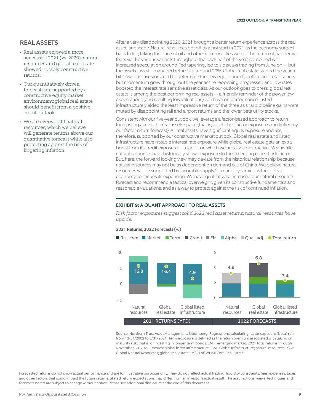#### REAL ASSETS

- Real assets enjoyed a more successful 2021 (vs. 2020); natural resources and global real estate showed notably constructive returns.
- Our quantitatively driven forecasts are supported by a constructive equity market environment; global real estate should benefit from a positive credit outlook.
- We are overweight natural resources, which we believe will generate returns above our quantitative forecast while also protecting against the risk of lingering inflation.

After a very disappointing 2020, 2021 brought a better return experience across the real asset landscape. Natural resources got off to a hot start in 2021 as the economy surged back to life, taking the price of oil and other commodities with it. The return of pandemic fears via the various variants throughout the back half of the year, combined with increased speculation around Fed tapering, led to sideways trading from June on — but the asset class still managed returns of around 20%. Global real estate started the year a bit slower as investors tried to determine the new equilibrium for office and retail space, but momentum grew throughout the year as the reopening progressed and low rates boosted the interest rate sensitive asset class. As our outlook goes to press, global real estate is among the best performing real assets — a friendly reminder of the power low expectations (and resulting low valuations) can have on performance. Listed infrastructure yielded the least impressive return of the three as sharp pipeline gains were muted by disappointing rail and airport returns and the lower beta utility stocks.

Consistent with our five-year outlook, we leverage a factor-based approach to return forecasting across the real assets space (that is, asset class factor exposures multiplied by our factor return forecast). All real assets have significant equity exposure and are, therefore, supported by our constructive market outlook. Global real estate and listed infrastructure have notable interest rate exposure while global real estate gets an extra boost from its credit exposure — a factor on which we are also constructive. Meanwhile, natural resources have historically shown exposure to the emerging market risk factor. But, here, the forward looking view may deviate from the historical relationship because natural resources may not be as dependent on demand out of China. We believe natural resources will be supported by favorable supply/demand dynamics as the global economy continues its expansion. We have qualitatively increased our natural resource forecast and recommend a tactical overweight, given its constructive fundamentals and reasonable valuations, and as a way to protect against the risk of continued inflation.

#### EXHIBIT 9: A QUANT APPROACH TO REAL ASSETS

*Risk factor exposures suggest solid 2022 real asset returns; natural resources have upside.*



#### 2021 Returns, 2022 Forecasts (%)

Source: Northern Trust Asset Management, Bloomberg. Regressions calculating factor exposure (beta) run from 12/31/2002 to 3/31/2021. Term exposure is defined as the return premium associated with taking on maturity risk; that is, of investing in longer term bonds. EM = emerging market. 2021 total returns through November 30, 2021. Proxies: global listed infrastructure - S&P Global Infrastructure; natural resources - S&P Global Natural Resources; global real estate - MSCI ACWI IMI Core Real Estate.

Forecasted returns do not show actual performance and are for illustrative purposes only. They do not reflect actual trading, liquidity constraints, fees, expenses, taxes and other factors that could impact the future returns. Stated return expectations may differ from an investor's actual result. The assumptions, views, techniques and forecasts noted are subject to change without notice. Please see additional disclosure at the end of this document.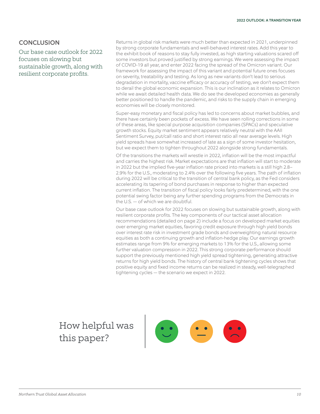## **CONCLUSION**

Our base case outlook for 2022 focuses on slowing but sustainable growth, along with resilient corporate profits.

Returns in global risk markets were much better than expected in 2021, underpinned by strong corporate fundamentals and well-behaved interest rates. Add this year to the exhibit book of reasons to stay fully invested, as high starting valuations scared off some investors but proved justified by strong earnings. We were assessing the impact of COVID-19 all year, and enter 2022 facing the spread of the Omicron variant. Our framework for assessing the impact of this variant and potential future ones focuses on severity, treatability and testing. As long as new variants don't lead to serious degradation in mortality, vaccine efficacy or accuracy of testing, we don't expect them to derail the global economic expansion. This is our inclination as it relates to Omicron while we await detailed health data. We do see the developed economies as generally better positioned to handle the pandemic, and risks to the supply chain in emerging economies will be closely monitored.

Super-easy monetary and fiscal policy has led to concerns about market bubbles, and there have certainly been pockets of excess. We have seen rolling corrections in some of these areas, like special purpose acquisition companies (SPACs) and speculative growth stocks. Equity market sentiment appears relatively neutral with the AAII Sentiment Survey, put/call ratio and short interest ratio all near average levels. High yield spreads have somewhat increased of late as a sign of some investor hesitation, but we expect them to tighten throughout 2022 alongside strong fundamentals.

Of the transitions the markets will wrestle in 2022, inflation will be the most impactful and carries the highest risk. Market expectations are that inflation will start to moderate in 2022 but the implied five-year inflation rate priced into markets is a still high 2.8– 2.9% for the U.S., moderating to 2.4% over the following five years. The path of inflation during 2022 will be critical to the transition of central bank policy, as the Fed considers accelerating its tapering of bond purchases in response to higher than expected current inflation. The transition of fiscal policy looks fairly predetermined, with the one potential swing factor being any further spending programs from the Democrats in the U.S. — of which we are doubtful.

Our base case outlook for 2022 focuses on slowing but sustainable growth, along with resilient corporate profits. The key components of our tactical asset allocation recommendations (detailed on page 2) include a focus on developed market equities over emerging market equities, favoring credit exposure through high yield bonds over interest rate risk in investment grade bonds and overweighting natural resource equities as both a continuing growth and inflation-hedge play. Our earnings growth estimates range from 9% for emerging markets to 13% for the U.S., allowing some further valuation compression in 2022. This strong corporate performance should support the previously mentioned high yield spread tightening, generating attractive returns for high yield bonds. The history of central bank tightening cycles shows that positive equity and fixed income returns can be realized in steady, well-telegraphed tightening cycles — the scenario we expect in 2022.

## How helpful was this paper?